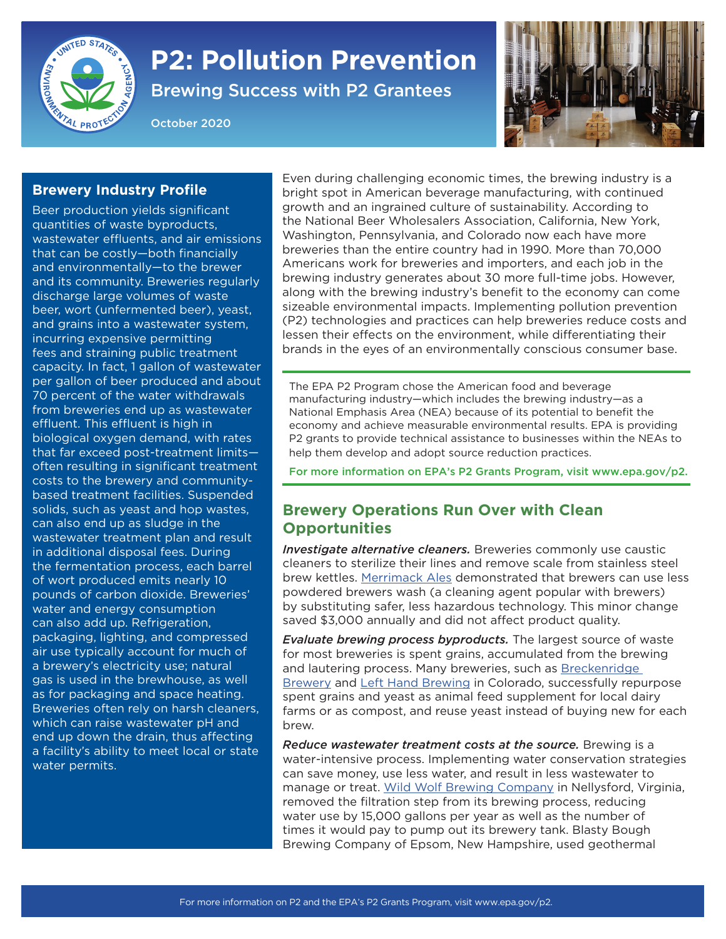

## **P2: Pollution Prevention**

Brewing Success with P2 Grantees

October 2020



## **Brewery Industry Profile**

Beer production yields significant quantities of waste byproducts, wastewater effluents, and air emissions that can be costly—both financially and environmentally—to the brewer and its community. Breweries regularly discharge large volumes of waste beer, wort (unfermented beer), yeast, and grains into a wastewater system, incurring expensive permitting fees and straining public treatment capacity. In fact, 1 gallon of wastewater per gallon of beer produced and about 70 percent of the water withdrawals from breweries end up as wastewater effluent. This effluent is high in biological oxygen demand, with rates that far exceed post-treatment limits often resulting in significant treatment costs to the brewery and communitybased treatment facilities. Suspended solids, such as yeast and hop wastes, can also end up as sludge in the wastewater treatment plan and result in additional disposal fees. During the fermentation process, each barrel of wort produced emits nearly 10 pounds of carbon dioxide. Breweries' water and energy consumption can also add up. Refrigeration, packaging, lighting, and compressed air use typically account for much of a brewery's electricity use; natural gas is used in the brewhouse, as well as for packaging and space heating. Breweries often rely on harsh cleaners, which can raise wastewater pH and end up down the drain, thus affecting a facility's ability to meet local or state water permits.

Even during challenging economic times, the brewing industry is a bright spot in American beverage manufacturing, with continued growth and an ingrained culture of sustainability. According to the National Beer Wholesalers Association, California, New York, Washington, Pennsylvania, and Colorado now each have more breweries than the entire country had in 1990. More than 70,000 Americans work for breweries and importers, and each job in the brewing industry generates about 30 more full-time jobs. However, along with the brewing industry's benefit to the economy can come sizeable environmental impacts. Implementing pollution prevention (P2) technologies and practices can help breweries reduce costs and lessen their effects on the environment, while differentiating their brands in the eyes of an environmentally conscious consumer base.

The EPA P2 Program chose the American food and beverage manufacturing industry—which includes the brewing industry—as a National Emphasis Area (NEA) because of its potential to benefit the economy and achieve measurable environmental results. EPA is providing P2 grants to provide technical assistance to businesses within the NEAs to help them develop and adopt source reduction practices.

For more information on EPA's P2 Grants Program, visit [www.epa.gov/p2](http://www.epa.gov/p2).

## **Brewery Operations Run Over with Clean Opportunities**

*Investigate alternative cleaners.* Breweries commonly use caustic cleaners to sterilize their lines and remove scale from stainless steel brew kettles. [Merrimack Ales](https://www.turi.org/content/download/10255/172275/file/Merrimack%20Ales%20Case%20Study.pdf) demonstrated that brewers can use less powdered brewers wash (a cleaning agent popular with brewers) by substituting safer, less hazardous technology. This minor change saved \$3,000 annually and did not affect product quality.

*Evaluate brewing process byproducts.* The largest source of waste for most breweries is spent grains, accumulated from the brewing and lautering process. Many breweries, such as [Breckenridge](https://www.breckbrew.com/sustainability#:~:text=Environment%20%26%20Safety%20at%20Breckenridge%20Brewery&text=Our%2012%20acre%20campus%20was,in%20reducing%20our%20environmental%20impact.)  [Brewery](https://www.breckbrew.com/sustainability#:~:text=Environment%20%26%20Safety%20at%20Breckenridge%20Brewery&text=Our%2012%20acre%20campus%20was,in%20reducing%20our%20environmental%20impact.) and [Left Hand Brewing](https://www.colorado.gov/pacific/cdphe/elp/bronze/left-hand-brewing) in Colorado, successfully repurpose spent grains and yeast as animal feed supplement for local dairy farms or as compost, and reuse yeast instead of buying new for each brew.

*Reduce wastewater treatment costs at the source.* Brewing is a water-intensive process. Implementing water conservation strategies can save money, use less water, and result in less wastewater to manage or treat. [Wild Wolf Brewing Company](https://www.deq.virginia.gov/Portals/0/DEQ/PollutionPrevention/P2%20Case%20Studies/Case%20Study-Wild%20Wolf-FINAL.pdf) in Nellysford, Virginia, removed the filtration step from its brewing process, reducing water use by 15,000 gallons per year as well as the number of times it would pay to pump out its brewery tank. Blasty Bough Brewing Company of Epsom, New Hampshire, used geothermal